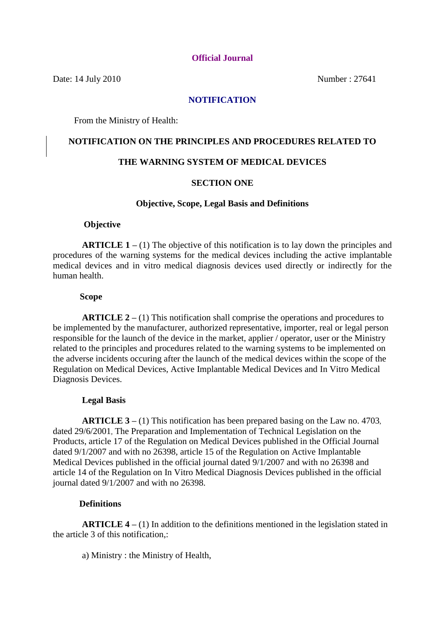#### **Official Journal**

Date: 14 July 2010 Number : 27641

### **NOTIFICATION**

From the Ministry of Health:

## **NOTIFICATION ON THE PRINCIPLES AND PROCEDURES RELATED TO**

## **THE WARNING SYSTEM OF MEDICAL DEVICES**

#### **SECTION ONE**

#### **Objective, Scope, Legal Basis and Definitions**

#### **Objective**

 **ARTICLE 1 –** (1) The objective of this notification is to lay down the principles and procedures of the warning systems for the medical devices including the active implantable medical devices and in vitro medical diagnosis devices used directly or indirectly for the human health.

#### **Scope**

 **ARTICLE 2 –** (1) This notification shall comprise the operations and procedures to be implemented by the manufacturer, authorized representative, importer, real or legal person responsible for the launch of the device in the market, applier / operator, user or the Ministry related to the principles and procedures related to the warning systems to be implemented on the adverse incidents occuring after the launch of the medical devices within the scope of the Regulation on Medical Devices, Active Implantable Medical Devices and In Vitro Medical Diagnosis Devices.

#### **Legal Basis**

 **ARTICLE 3 –** (1) This notification has been prepared basing on the Law no. 4703, dated 29/6/2001, The Preparation and Implementation of Technical Legislation on the Products, article 17 of the Regulation on Medical Devices published in the Official Journal dated 9/1/2007 and with no 26398, article 15 of the Regulation on Active Implantable Medical Devices published in the official journal dated 9/1/2007 and with no 26398 and article 14 of the Regulation on In Vitro Medical Diagnosis Devices published in the official journal dated 9/1/2007 and with no 26398.

#### **Definitions**

 **ARTICLE 4 –** (1) In addition to the definitions mentioned in the legislation stated in the article 3 of this notification,:

a) Ministry : the Ministry of Health,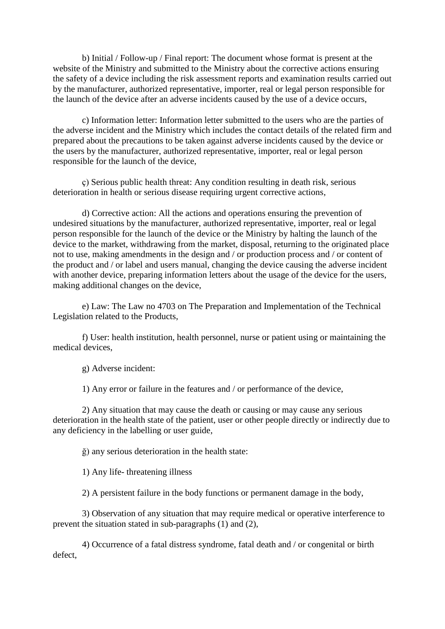b) Initial / Follow-up / Final report: The document whose format is present at the website of the Ministry and submitted to the Ministry about the corrective actions ensuring the safety of a device including the risk assessment reports and examination results carried out by the manufacturer, authorized representative, importer, real or legal person responsible for the launch of the device after an adverse incidents caused by the use of a device occurs,

 c) Information letter: Information letter submitted to the users who are the parties of the adverse incident and the Ministry which includes the contact details of the related firm and prepared about the precautions to be taken against adverse incidents caused by the device or the users by the manufacturer, authorized representative, importer, real or legal person responsible for the launch of the device,

 ç) Serious public health threat: Any condition resulting in death risk, serious deterioration in health or serious disease requiring urgent corrective actions,

 d) Corrective action: All the actions and operations ensuring the prevention of undesired situations by the manufacturer, authorized representative, importer, real or legal person responsible for the launch of the device or the Ministry by halting the launch of the device to the market, withdrawing from the market, disposal, returning to the originated place not to use, making amendments in the design and / or production process and / or content of the product and / or label and users manual, changing the device causing the adverse incident with another device, preparing information letters about the usage of the device for the users. making additional changes on the device,

 e) Law: The Law no 4703 on The Preparation and Implementation of the Technical Legislation related to the Products,

 f) User: health institution, health personnel, nurse or patient using or maintaining the medical devices,

g) Adverse incident:

1) Any error or failure in the features and / or performance of the device,

 2) Any situation that may cause the death or causing or may cause any serious deterioration in the health state of the patient, user or other people directly or indirectly due to any deficiency in the labelling or user guide,

ğ) any serious deterioration in the health state:

1) Any life- threatening illness

2) A persistent failure in the body functions or permanent damage in the body,

 3) Observation of any situation that may require medical or operative interference to prevent the situation stated in sub-paragraphs (1) and (2),

 4) Occurrence of a fatal distress syndrome, fatal death and / or congenital or birth defect,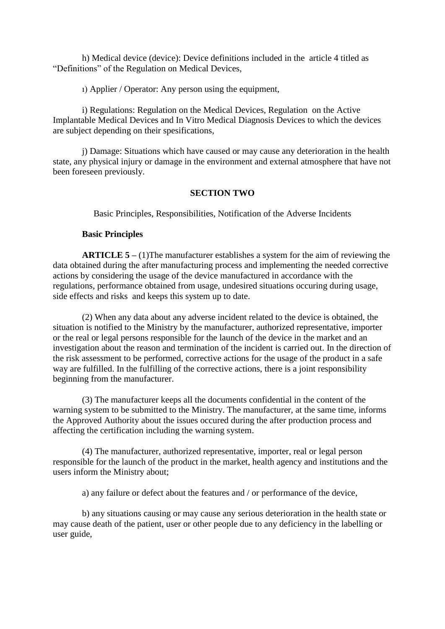h) Medical device (device): Device definitions included in the article 4 titled as "Definitions" of the Regulation on Medical Devices,

ı) Applier / Operator: Any person using the equipment,

 i) Regulations: Regulation on the Medical Devices, Regulation on the Active Implantable Medical Devices and In Vitro Medical Diagnosis Devices to which the devices are subject depending on their spesifications,

 j) Damage: Situations which have caused or may cause any deterioration in the health state, any physical injury or damage in the environment and external atmosphere that have not been foreseen previously.

#### **SECTION TWO**

Basic Principles, Responsibilities, Notification of the Adverse Incidents

#### **Basic Principles**

 **ARTICLE 5 –** (1)The manufacturer establishes a system for the aim of reviewing the data obtained during the after manufacturing process and implementing the needed corrective actions by considering the usage of the device manufactured in accordance with the regulations, performance obtained from usage, undesired situations occuring during usage, side effects and risks and keeps this system up to date.

 (2) When any data about any adverse incident related to the device is obtained, the situation is notified to the Ministry by the manufacturer, authorized representative, importer or the real or legal persons responsible for the launch of the device in the market and an investigation about the reason and termination of the incident is carried out. In the direction of the risk assessment to be performed, corrective actions for the usage of the product in a safe way are fulfilled. In the fulfilling of the corrective actions, there is a joint responsibility beginning from the manufacturer.

 (3) The manufacturer keeps all the documents confidential in the content of the warning system to be submitted to the Ministry. The manufacturer, at the same time, informs the Approved Authority about the issues occured during the after production process and affecting the certification including the warning system.

 (4) The manufacturer, authorized representative, importer, real or legal person responsible for the launch of the product in the market, health agency and institutions and the users inform the Ministry about;

a) any failure or defect about the features and / or performance of the device,

 b) any situations causing or may cause any serious deterioration in the health state or may cause death of the patient, user or other people due to any deficiency in the labelling or user guide,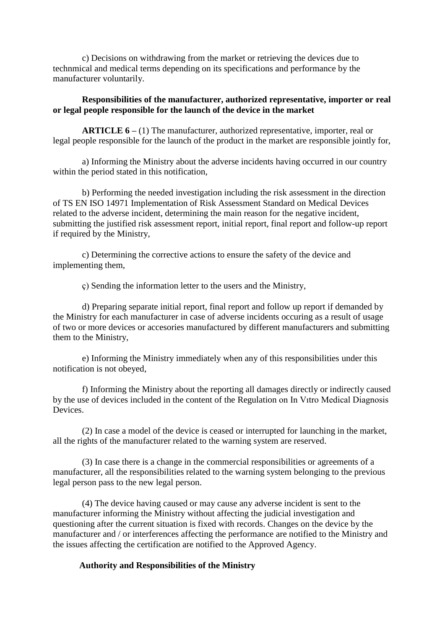c) Decisions on withdrawing from the market or retrieving the devices due to technmical and medical terms depending on its specifications and performance by the manufacturer voluntarily.

## **Responsibilities of the manufacturer, authorized representative, importer or real or legal people responsible for the launch of the device in the market**

 **ARTICLE 6 –** (1) The manufacturer, authorized representative, importer, real or legal people responsible for the launch of the product in the market are responsible jointly for,

 a) Informing the Ministry about the adverse incidents having occurred in our country within the period stated in this notification,

 b) Performing the needed investigation including the risk assessment in the direction of TS EN ISO 14971 Implementation of Risk Assessment Standard on Medical Devices related to the adverse incident, determining the main reason for the negative incident, submitting the justified risk assessment report, initial report, final report and follow-up report if required by the Ministry,

 c) Determining the corrective actions to ensure the safety of the device and implementing them,

ç) Sending the information letter to the users and the Ministry,

 d) Preparing separate initial report, final report and follow up report if demanded by the Ministry for each manufacturer in case of adverse incidents occuring as a result of usage of two or more devices or accesories manufactured by different manufacturers and submitting them to the Ministry,

 e) Informing the Ministry immediately when any of this responsibilities under this notification is not obeyed,

 f) Informing the Ministry about the reporting all damages directly or indirectly caused by the use of devices included in the content of the Regulation on In Vıtro Medical Diagnosis Devices.

 (2) In case a model of the device is ceased or interrupted for launching in the market, all the rights of the manufacturer related to the warning system are reserved.

 (3) In case there is a change in the commercial responsibilities or agreements of a manufacturer, all the responsibilities related to the warning system belonging to the previous legal person pass to the new legal person.

 (4) The device having caused or may cause any adverse incident is sent to the manufacturer informing the Ministry without affecting the judicial investigation and questioning after the current situation is fixed with records. Changes on the device by the manufacturer and / or interferences affecting the performance are notified to the Ministry and the issues affecting the certification are notified to the Approved Agency.

## **Authority and Responsibilities of the Ministry**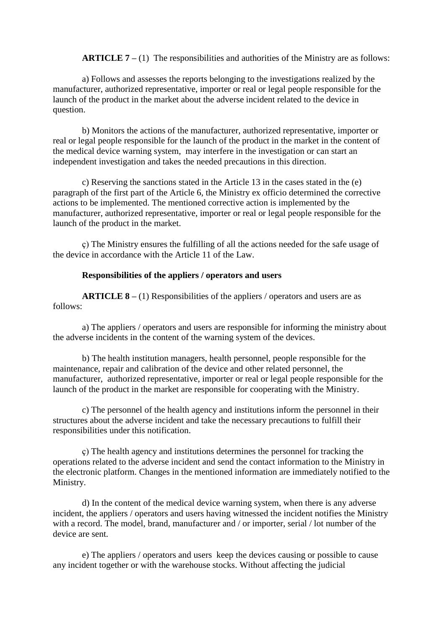**ARTICLE 7 –** (1) The responsibilities and authorities of the Ministry are as follows:

 a) Follows and assesses the reports belonging to the investigations realized by the manufacturer, authorized representative, importer or real or legal people responsible for the launch of the product in the market about the adverse incident related to the device in question.

 b) Monitors the actions of the manufacturer, authorized representative, importer or real or legal people responsible for the launch of the product in the market in the content of the medical device warning system, may interfere in the investigation or can start an independent investigation and takes the needed precautions in this direction.

 c) Reserving the sanctions stated in the Article 13 in the cases stated in the (e) paragraph of the first part of the Article 6, the Ministry ex officio determined the corrective actions to be implemented. The mentioned corrective action is implemented by the manufacturer, authorized representative, importer or real or legal people responsible for the launch of the product in the market.

 ç) The Ministry ensures the fulfilling of all the actions needed for the safe usage of the device in accordance with the Article 11 of the Law.

### **Responsibilities of the appliers / operators and users**

 **ARTICLE 8 –** (1) Responsibilities of the appliers / operators and users are as follows:

 a) The appliers / operators and users are responsible for informing the ministry about the adverse incidents in the content of the warning system of the devices.

 b) The health institution managers, health personnel, people responsible for the maintenance, repair and calibration of the device and other related personnel, the manufacturer, authorized representative, importer or real or legal people responsible for the launch of the product in the market are responsible for cooperating with the Ministry.

 c) The personnel of the health agency and institutions inform the personnel in their structures about the adverse incident and take the necessary precautions to fulfill their responsibilities under this notification.

 ç) The health agency and institutions determines the personnel for tracking the operations related to the adverse incident and send the contact information to the Ministry in the electronic platform. Changes in the mentioned information are immediately notified to the Ministry.

 d) In the content of the medical device warning system, when there is any adverse incident, the appliers / operators and users having witnessed the incident notifies the Ministry with a record. The model, brand, manufacturer and / or importer, serial / lot number of the device are sent.

 e) The appliers / operators and users keep the devices causing or possible to cause any incident together or with the warehouse stocks. Without affecting the judicial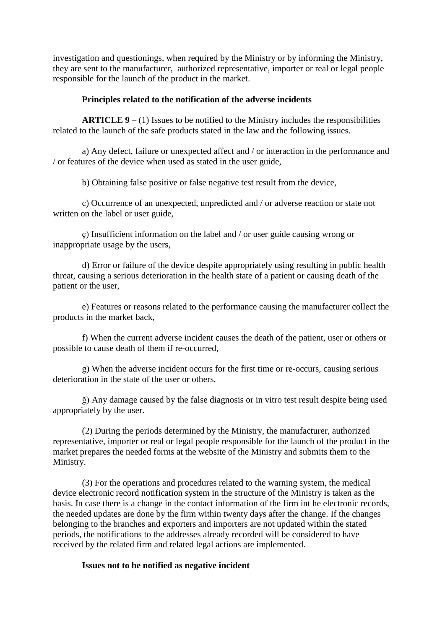investigation and questionings, when required by the Ministry or by informing the Ministry, they are sent to the manufacturer, authorized representative, importer or real or legal people responsible for the launch of the product in the market.

## **Principles related to the notification of the adverse incidents**

 **ARTICLE 9 –** (1) Issues to be notified to the Ministry includes the responsibilities related to the launch of the safe products stated in the law and the following issues.

 a) Any defect, failure or unexpected affect and / or interaction in the performance and / or features of the device when used as stated in the user guide,

b) Obtaining false positive or false negative test result from the device,

 c) Occurrence of an unexpected, unpredicted and / or adverse reaction or state not written on the label or user guide,

 ç) Insufficient information on the label and / or user guide causing wrong or inappropriate usage by the users,

 d) Error or failure of the device despite appropriately using resulting in public health threat, causing a serious deterioration in the health state of a patient or causing death of the patient or the user,

 e) Features or reasons related to the performance causing the manufacturer collect the products in the market back,

 f) When the current adverse incident causes the death of the patient, user or others or possible to cause death of them if re-occurred,

 g) When the adverse incident occurs for the first time or re-occurs, causing serious deterioration in the state of the user or others,

 ğ) Any damage caused by the false diagnosis or in vitro test result despite being used appropriately by the user.

 (2) During the periods determined by the Ministry, the manufacturer, authorized representative, importer or real or legal people responsible for the launch of the product in the market prepares the needed forms at the website of the Ministry and submits them to the Ministry.

 (3) For the operations and procedures related to the warning system, the medical device electronic record notification system in the structure of the Ministry is taken as the basis. In case there is a change in the contact information of the firm int he electronic records, the needed updates are done by the firm within twenty days after the change. If the changes belonging to the branches and exporters and importers are not updated within the stated periods, the notifications to the addresses already recorded will be considered to have received by the related firm and related legal actions are implemented.

## **Issues not to be notified as negative incident**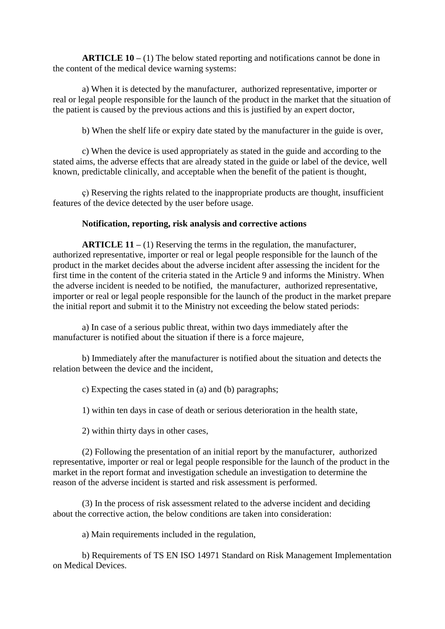**ARTICLE 10 –** (1) The below stated reporting and notifications cannot be done in the content of the medical device warning systems:

 a) When it is detected by the manufacturer, authorized representative, importer or real or legal people responsible for the launch of the product in the market that the situation of the patient is caused by the previous actions and this is justified by an expert doctor,

b) When the shelf life or expiry date stated by the manufacturer in the guide is over,

 c) When the device is used appropriately as stated in the guide and according to the stated aims, the adverse effects that are already stated in the guide or label of the device, well known, predictable clinically, and acceptable when the benefit of the patient is thought,

 ç) Reserving the rights related to the inappropriate products are thought, insufficient features of the device detected by the user before usage.

## **Notification, reporting, risk analysis and corrective actions**

 **ARTICLE 11 –** (1) Reserving the terms in the regulation, the manufacturer, authorized representative, importer or real or legal people responsible for the launch of the product in the market decides about the adverse incident after assessing the incident for the first time in the content of the criteria stated in the Article 9 and informs the Ministry. When the adverse incident is needed to be notified, the manufacturer, authorized representative, importer or real or legal people responsible for the launch of the product in the market prepare the initial report and submit it to the Ministry not exceeding the below stated periods:

 a) In case of a serious public threat, within two days immediately after the manufacturer is notified about the situation if there is a force majeure,

 b) Immediately after the manufacturer is notified about the situation and detects the relation between the device and the incident,

c) Expecting the cases stated in (a) and (b) paragraphs;

1) within ten days in case of death or serious deterioration in the health state,

2) within thirty days in other cases,

 (2) Following the presentation of an initial report by the manufacturer, authorized representative, importer or real or legal people responsible for the launch of the product in the market in the report format and investigation schedule an investigation to determine the reason of the adverse incident is started and risk assessment is performed.

 (3) In the process of risk assessment related to the adverse incident and deciding about the corrective action, the below conditions are taken into consideration:

a) Main requirements included in the regulation,

 b) Requirements of TS EN ISO 14971 Standard on Risk Management Implementation on Medical Devices.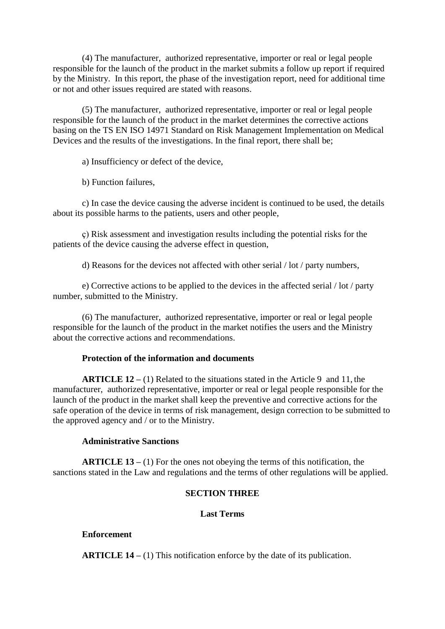(4) The manufacturer, authorized representative, importer or real or legal people responsible for the launch of the product in the market submits a follow up report if required by the Ministry. In this report, the phase of the investigation report, need for additional time or not and other issues required are stated with reasons.

 (5) The manufacturer, authorized representative, importer or real or legal people responsible for the launch of the product in the market determines the corrective actions basing on the TS EN ISO 14971 Standard on Risk Management Implementation on Medical Devices and the results of the investigations. In the final report, there shall be;

a) Insufficiency or defect of the device,

b) Function failures,

 c) In case the device causing the adverse incident is continued to be used, the details about its possible harms to the patients, users and other people,

 ç) Risk assessment and investigation results including the potential risks for the patients of the device causing the adverse effect in question,

d) Reasons for the devices not affected with other serial / lot / party numbers,

 e) Corrective actions to be applied to the devices in the affected serial / lot / party number, submitted to the Ministry.

 (6) The manufacturer, authorized representative, importer or real or legal people responsible for the launch of the product in the market notifies the users and the Ministry about the corrective actions and recommendations.

## **Protection of the information and documents**

 **ARTICLE 12 –** (1) Related to the situations stated in the Article 9 and 11, the manufacturer, authorized representative, importer or real or legal people responsible for the launch of the product in the market shall keep the preventive and corrective actions for the safe operation of the device in terms of risk management, design correction to be submitted to the approved agency and / or to the Ministry.

## **Administrative Sanctions**

 **ARTICLE 13 –** (1) For the ones not obeying the terms of this notification, the sanctions stated in the Law and regulations and the terms of other regulations will be applied.

## **SECTION THREE**

## **Last Terms**

## **Enforcement**

 **ARTICLE 14 –** (1) This notification enforce by the date of its publication.